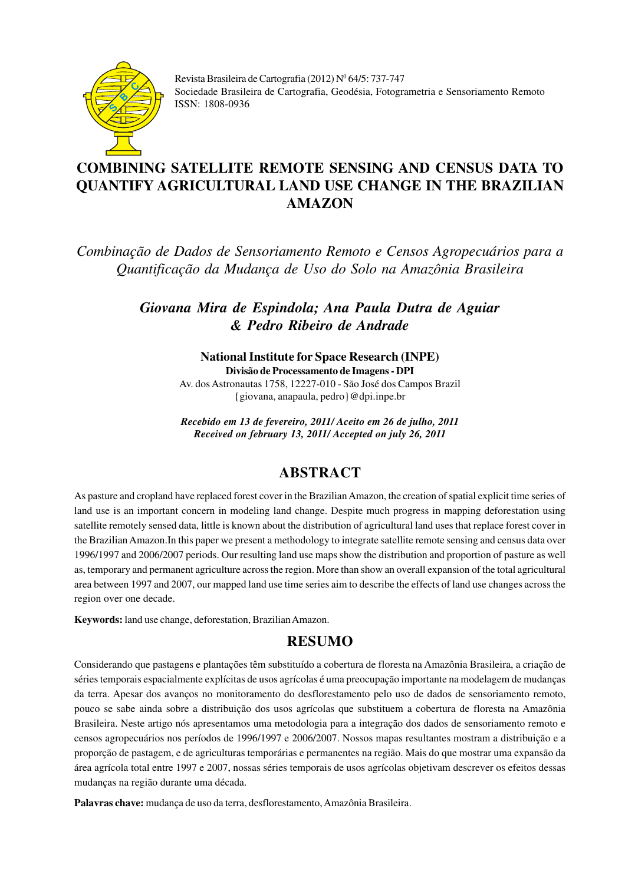

Revista Brasileira de Cartografia (2012) Nº 64/5: 737-747 Sociedade Brasileira de Cartografia, Geodésia, Fotogrametria e Sensoriamento Remoto **ISSN: 1808-0936** 

# **COMBINING SATELLITE REMOTE SENSING AND CENSUS DATA TO QUANTIFY AGRICULTURAL LAND USE CHANGE IN THE BRAZILIAN AMAZON**

*Combinação de Dados de Sensoriamento Remoto e Censos Agropecuários para a Quantificação da Mudança de Uso do Solo na Amazônia Brasileira*

> *Giovana Mira de Espindola; Ana Paula Dutra de Aguiar & Pedro Ribeiro de Andrade*

### **National Institute for Space Research (INPE)**

**Divisão de Processamento de Imagens - DPI** Av. dos Astronautas 1758, 12227-010 - São José dos Campos Brazil {giovana, anapaula, pedro}@dpi.inpe.br

*Recebido em 13 de fevereiro, 2011/ Aceito em 26 de julho, 2011 Received on february 13, 2011/ Accepted on july 26, 2011*

# **ABSTRACT**

As pasture and cropland have replaced forest cover in the Brazilian Amazon, the creation of spatial explicit time series of land use is an important concern in modeling land change. Despite much progress in mapping deforestation using satellite remotely sensed data, little is known about the distribution of agricultural land uses that replace forest cover in the Brazilian Amazon.In this paper we present a methodology to integrate satellite remote sensing and census data over 1996/1997 and 2006/2007 periods. Our resulting land use maps show the distribution and proportion of pasture as well as, temporary and permanent agriculture across the region. More than show an overall expansion of the total agricultural area between 1997 and 2007, our mapped land use time series aim to describe the effects of land use changes across the region over one decade.

**Keywords:** land use change, deforestation, Brazilian Amazon.

# **RESUMO**

Considerando que pastagens e plantações têm substituído a cobertura de floresta na Amazônia Brasileira, a criação de séries temporais espacialmente explícitas de usos agrícolas é uma preocupação importante na modelagem de mudanças da terra. Apesar dos avanços no monitoramento do desflorestamento pelo uso de dados de sensoriamento remoto, pouco se sabe ainda sobre a distribuição dos usos agrícolas que substituem a cobertura de floresta na Amazônia Brasileira. Neste artigo nós apresentamos uma metodologia para a integração dos dados de sensoriamento remoto e censos agropecuários nos períodos de 1996/1997 e 2006/2007. Nossos mapas resultantes mostram a distribuição e a proporção de pastagem, e de agriculturas temporárias e permanentes na região. Mais do que mostrar uma expansão da área agrícola total entre 1997 e 2007, nossas séries temporais de usos agrícolas objetivam descrever os efeitos dessas mudanças na região durante uma década.

**Palavras chave:** mudança de uso da terra, desflorestamento, Amazônia Brasileira.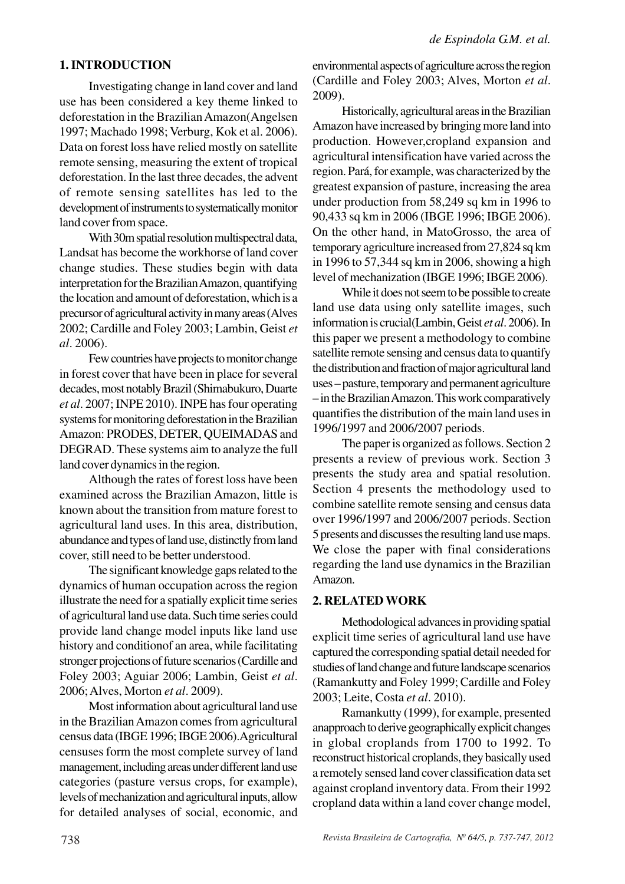#### **1. INTRODUCTION**

Investigating change in land cover and land use has been considered a key theme linked to deforestation in the Brazilian Amazon(Angelsen 1997; Machado 1998; Verburg, Kok et al. 2006). Data on forest loss have relied mostly on satellite remote sensing, measuring the extent of tropical deforestation. In the last three decades, the advent of remote sensing satellites has led to the development of instruments to systematically monitor land cover from space.

With 30m spatial resolution multispectral data, Landsat has become the workhorse of land cover change studies. These studies begin with data interpretation for the Brazilian Amazon, quantifying the location and amount of deforestation, which is a precursor of agricultural activity in many areas (Alves 2002; Cardille and Foley 2003; Lambin, Geist *et al*. 2006).

Few countries have projects to monitor change in forest cover that have been in place for several decades, most notably Brazil (Shimabukuro, Duarte *et al*. 2007; INPE 2010). INPE has four operating systems for monitoring deforestation in the Brazilian Amazon: PRODES, DETER, QUEIMADAS and DEGRAD. These systems aim to analyze the full land cover dynamics in the region.

Although the rates of forest loss have been examined across the Brazilian Amazon, little is known about the transition from mature forest to agricultural land uses. In this area, distribution, abundance and types of land use, distinctly from land cover, still need to be better understood.

The significant knowledge gaps related to the dynamics of human occupation across the region illustrate the need for a spatially explicit time series of agricultural land use data. Such time series could provide land change model inputs like land use history and conditionof an area, while facilitating stronger projections of future scenarios (Cardille and Foley 2003; Aguiar 2006; Lambin, Geist *et al*. 2006; Alves, Morton *et al*. 2009).

Most information about agricultural land use in the Brazilian Amazon comes from agricultural census data (IBGE 1996; IBGE 2006).Agricultural censuses form the most complete survey of land management, including areas under different land use categories (pasture versus crops, for example), levels of mechanization and agricultural inputs, allow for detailed analyses of social, economic, and environmental aspects of agriculture across the region (Cardille and Foley 2003; Alves, Morton *et al*. 2009).

Historically, agricultural areas in the Brazilian Amazon have increased by bringing more land into production. However,cropland expansion and agricultural intensification have varied across the region. Pará, for example, was characterized by the greatest expansion of pasture, increasing the area under production from 58,249 sq km in 1996 to 90,433 sq km in 2006 (IBGE 1996; IBGE 2006). On the other hand, in MatoGrosso, the area of temporary agriculture increased from 27,824 sq km in 1996 to 57,344 sq km in 2006, showing a high level of mechanization (IBGE 1996; IBGE 2006).

While it does not seem to be possible to create land use data using only satellite images, such information is crucial(Lambin, Geist *et al*. 2006). In this paper we present a methodology to combine satellite remote sensing and census data to quantify the distribution and fraction of major agricultural land uses – pasture, temporary and permanent agriculture – in the Brazilian Amazon. This work comparatively quantifies the distribution of the main land uses in 1996/1997 and 2006/2007 periods.

The paper is organized as follows. Section 2 presents a review of previous work. Section 3 presents the study area and spatial resolution. Section 4 presents the methodology used to combine satellite remote sensing and census data over 1996/1997 and 2006/2007 periods. Section 5 presents and discusses the resulting land use maps. We close the paper with final considerations regarding the land use dynamics in the Brazilian Amazon.

#### **2. RELATED WORK**

Methodological advances in providing spatial explicit time series of agricultural land use have captured the corresponding spatial detail needed for studies of land change and future landscape scenarios (Ramankutty and Foley 1999; Cardille and Foley 2003; Leite, Costa *et al*. 2010).

Ramankutty (1999), for example, presented anapproach to derive geographically explicit changes in global croplands from 1700 to 1992. To reconstruct historical croplands, they basically used a remotely sensed land cover classification data set against cropland inventory data. From their 1992 cropland data within a land cover change model,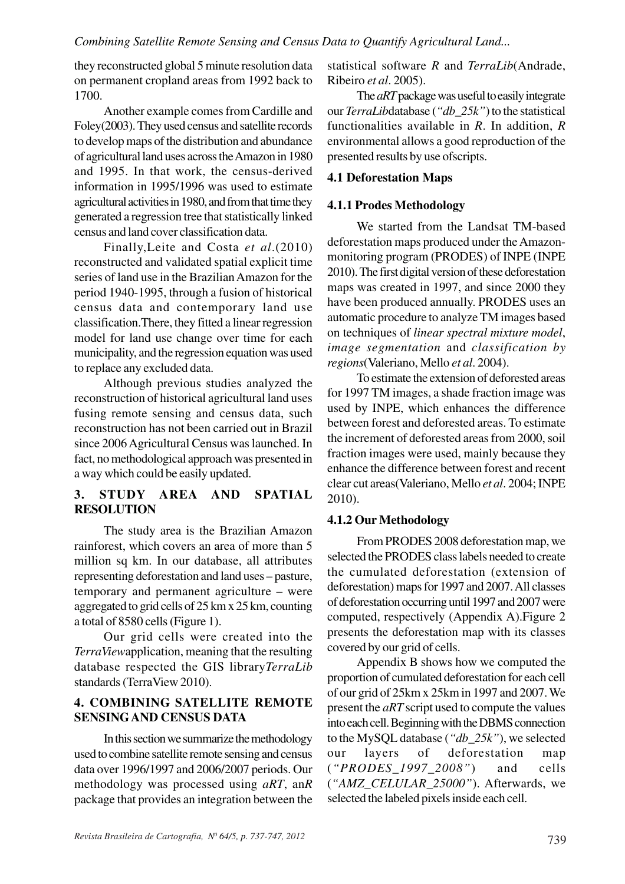they reconstructed global 5 minute resolution data on permanent cropland areas from 1992 back to 1700.

Another example comes from Cardille and Foley(2003). They used census and satellite records to develop maps of the distribution and abundance of agricultural land uses across the Amazon in 1980 and 1995. In that work, the census-derived information in 1995/1996 was used to estimate agricultural activities in 1980, and from that time they generated a regression tree that statistically linked census and land cover classification data.

Finally,Leite and Costa *et al*.(2010) reconstructed and validated spatial explicit time series of land use in the Brazilian Amazon for the period 1940-1995, through a fusion of historical census data and contemporary land use classification.There, they fitted a linear regression model for land use change over time for each municipality, and the regression equation was used to replace any excluded data.

Although previous studies analyzed the reconstruction of historical agricultural land uses fusing remote sensing and census data, such reconstruction has not been carried out in Brazil since 2006 Agricultural Census was launched. In fact, no methodological approach was presented in a way which could be easily updated.

# **3. STUDY AREA AND SPATIAL RESOLUTION**

The study area is the Brazilian Amazon rainforest, which covers an area of more than 5 million sq km. In our database, all attributes representing deforestation and land uses – pasture, temporary and permanent agriculture – were aggregated to grid cells of 25 km x 25 km, counting a total of 8580 cells (Figure 1).

Our grid cells were created into the *TerraView*application, meaning that the resulting database respected the GIS library*TerraLib* standards (TerraView 2010).

### **4. COMBINING SATELLITE REMOTE SENSINGAND CENSUS DATA**

In this section we summarize the methodology used to combine satellite remote sensing and census data over 1996/1997 and 2006/2007 periods. Our methodology was processed using *aRT*, an*R* package that provides an integration between the statistical software *R* and *TerraLib*(Andrade, Ribeiro *et al*. 2005).

The *aRT* package was useful to easily integrate our *TerraLib*database (*"db\_25k"*) to the statistical functionalities available in *R*. In addition, *R* environmental allows a good reproduction of the presented results by use ofscripts.

# **4.1 Deforestation Maps**

# **4.1.1 Prodes Methodology**

We started from the Landsat TM-based deforestation maps produced under the Amazonmonitoring program (PRODES) of INPE (INPE 2010). The first digital version of these deforestation maps was created in 1997, and since 2000 they have been produced annually. PRODES uses an automatic procedure to analyze TM images based on techniques of *linear spectral mixture model*, *image segmentation* and *classification by regions*(Valeriano, Mello *et al*. 2004).

To estimate the extension of deforested areas for 1997 TM images, a shade fraction image was used by INPE, which enhances the difference between forest and deforested areas. To estimate the increment of deforested areas from 2000, soil fraction images were used, mainly because they enhance the difference between forest and recent clear cut areas(Valeriano, Mello *et al*. 2004; INPE 2010).

# **4.1.2 Our Methodology**

From PRODES 2008 deforestation map, we selected the PRODES class labels needed to create the cumulated deforestation (extension of deforestation) maps for 1997 and 2007. All classes of deforestation occurring until 1997 and 2007 were computed, respectively (Appendix A).Figure 2 presents the deforestation map with its classes covered by our grid of cells.

Appendix B shows how we computed the proportion of cumulated deforestation for each cell of our grid of 25km x 25km in 1997 and 2007. We present the *aRT* script used to compute the values into each cell. Beginning with the DBMS connection to the MySQL database (*"db\_25k"*), we selected our layers of deforestation map (*"PRODES\_1997\_2008"*) and cells (*"AMZ\_CELULAR\_25000"*). Afterwards, we selected the labeled pixels inside each cell.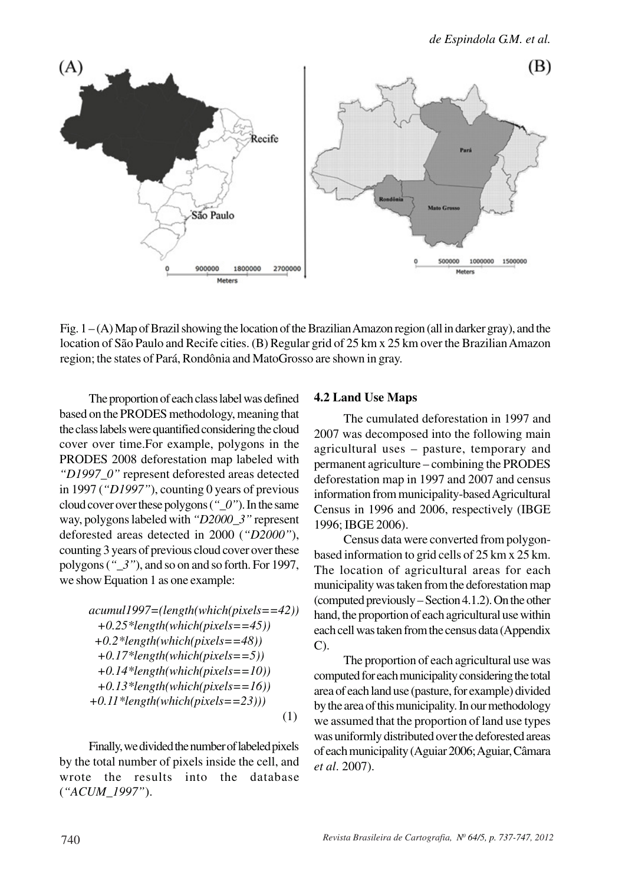

Fig. 1 – (A) Map of Brazil showing the location of the Brazilian Amazon region (all in darker gray), and the location of São Paulo and Recife cities. (B) Regular grid of 25 km x 25 km over the Brazilian Amazon region; the states of Pará, Rondônia and MatoGrosso are shown in gray.

The proportion of each class label was defined based on the PRODES methodology, meaning that the class labels were quantified considering the cloud cover over time.For example, polygons in the PRODES 2008 deforestation map labeled with *"D1997\_0"* represent deforested areas detected in 1997 (*"D1997"*), counting 0 years of previous cloud cover over these polygons (*"\_0"*). In the same way, polygons labeled with *"D2000\_3"* represent deforested areas detected in 2000 (*"D2000"*), counting 3 years of previous cloud cover over these polygons (*"\_3"*), and so on and so forth. For 1997, we show Equation 1 as one example:

$$
acumull997=(length(which(pixels==42))+0.25*length(which(pixels==45))+0.2*length(which(pixels==48))+0.17*length(which(pixels==5))+0.14*length(which(pixels==10))+0.13*length(which(pixels==16))+0.11*length(which(pixels==23)))
$$
(1)

Finally, we divided the number of labeled pixels by the total number of pixels inside the cell, and wrote the results into the database (*"ACUM\_1997"*).

### **4.2 Land Use Maps**

The cumulated deforestation in 1997 and 2007 was decomposed into the following main agricultural uses – pasture, temporary and permanent agriculture – combining the PRODES deforestation map in 1997 and 2007 and census information from municipality-based Agricultural Census in 1996 and 2006, respectively (IBGE 1996; IBGE 2006).

Census data were converted from polygonbased information to grid cells of 25 km x 25 km. The location of agricultural areas for each municipality was taken from the deforestation map (computed previously – Section 4.1.2). On the other hand, the proportion of each agricultural use within each cell was taken from the census data (Appendix C).

The proportion of each agricultural use was computed for each municipality considering the total area of each land use (pasture, for example) divided by the area of this municipality. In our methodology we assumed that the proportion of land use types was uniformly distributed over the deforested areas of each municipality (Aguiar 2006; Aguiar, Câmara *et al*. 2007).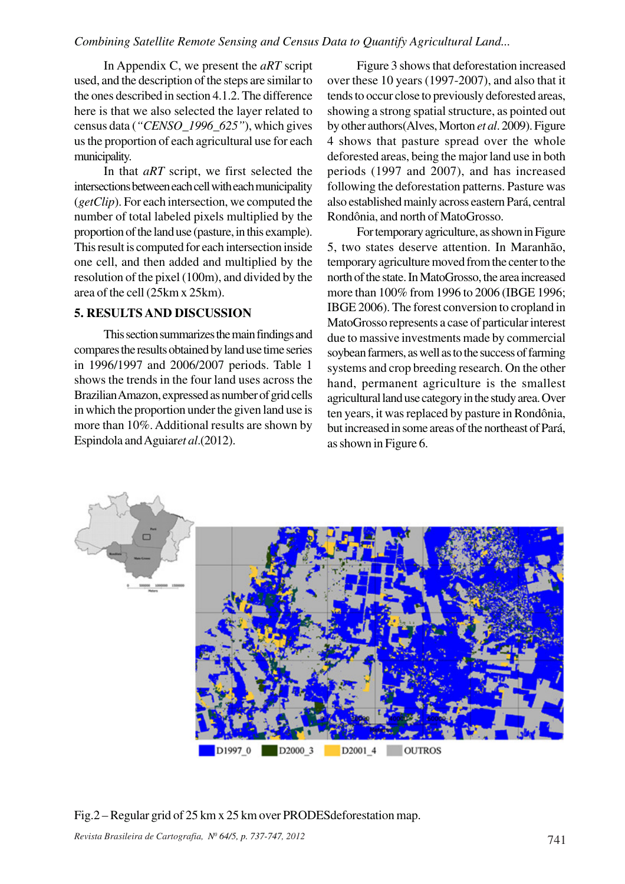In Appendix C, we present the *aRT* script used, and the description of the steps are similar to the ones described in section 4.1.2. The difference here is that we also selected the layer related to census data (*"CENSO\_1996\_625"*), which gives us the proportion of each agricultural use for each municipality.

In that *aRT* script, we first selected the intersections between each cell with each municipality (*getClip*). For each intersection, we computed the number of total labeled pixels multiplied by the proportion of the land use (pasture, in this example). This result is computed for each intersection inside one cell, and then added and multiplied by the resolution of the pixel (100m), and divided by the area of the cell (25km x 25km).

#### **5. RESULTS AND DISCUSSION**

This section summarizes the main findings and compares the results obtained by land use time series in 1996/1997 and 2006/2007 periods. Table 1 shows the trends in the four land uses across the Brazilian Amazon, expressed as number of grid cells in which the proportion under the given land use is more than 10%. Additional results are shown by Espindola and Aguiar*et al*.(2012).

Figure 3 shows that deforestation increased over these 10 years (1997-2007), and also that it tends to occur close to previously deforested areas, showing a strong spatial structure, as pointed out by other authors(Alves, Morton *et al*. 2009). Figure 4 shows that pasture spread over the whole deforested areas, being the major land use in both periods (1997 and 2007), and has increased following the deforestation patterns. Pasture was also established mainly across eastern Pará, central Rondônia, and north of MatoGrosso.

For temporary agriculture, as shown in Figure 5, two states deserve attention. In Maranhão, temporary agriculture moved from the center to the north of the state. In MatoGrosso, the area increased more than 100% from 1996 to 2006 (IBGE 1996; IBGE 2006). The forest conversion to cropland in MatoGrosso represents a case of particular interest due to massive investments made by commercial soybean farmers, as well as to the success of farming systems and crop breeding research. On the other hand, permanent agriculture is the smallest agricultural land use category in the study area. Over ten years, it was replaced by pasture in Rondônia, but increased in some areas of the northeast of Pará, as shown in Figure 6.



Fig.2 – Regular grid of 25 km x 25 km over PRODESdeforestation map.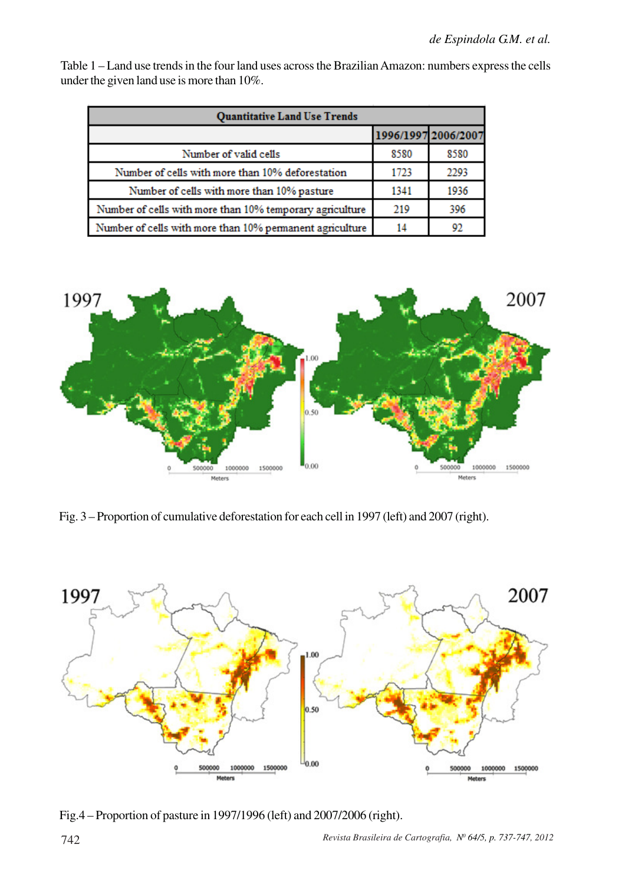Table 1 – Land use trends in the four land uses across the Brazilian Amazon: numbers express the cells under the given land use is more than 10%.

| <b>Quantitative Land Use Trends</b>                      |      |                     |  |  |  |
|----------------------------------------------------------|------|---------------------|--|--|--|
|                                                          |      | 1996/1997 2006/2007 |  |  |  |
| Number of valid cells                                    | 8580 | 8580                |  |  |  |
| Number of cells with more than 10% deforestation         | 1723 | 2293                |  |  |  |
| Number of cells with more than 10% pasture               | 1341 | 1936                |  |  |  |
| Number of cells with more than 10% temporary agriculture | 219  | 396                 |  |  |  |
| Number of cells with more than 10% permanent agriculture | 14   | 92                  |  |  |  |



Fig. 3 – Proportion of cumulative deforestation for each cell in 1997 (left) and 2007 (right).



Fig.4 – Proportion of pasture in 1997/1996 (left) and 2007/2006 (right).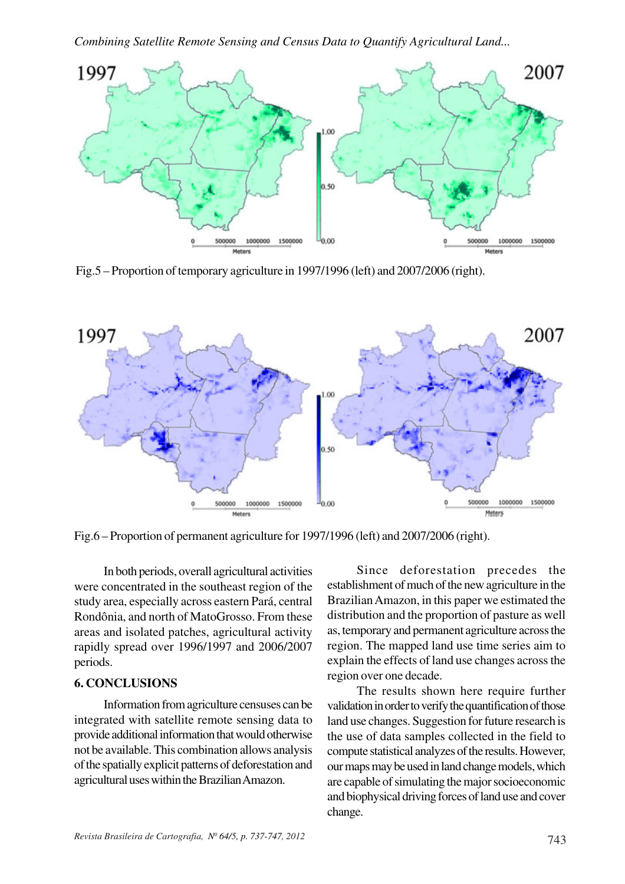

Fig.5 – Proportion of temporary agriculture in 1997/1996 (left) and 2007/2006 (right).



Fig.6 – Proportion of permanent agriculture for 1997/1996 (left) and 2007/2006 (right).

In both periods, overall agricultural activities were concentrated in the southeast region of the study area, especially across eastern Pará, central Rondônia, and north of MatoGrosso. From these areas and isolated patches, agricultural activity rapidly spread over 1996/1997 and 2006/2007 periods.

### **6. CONCLUSIONS**

Information from agriculture censuses can be integrated with satellite remote sensing data to provide additional information that would otherwise not be available. This combination allows analysis of the spatially explicit patterns of deforestation and agricultural uses within the Brazilian Amazon.

Since deforestation precedes the establishment of much of the new agriculture in the Brazilian Amazon, in this paper we estimated the distribution and the proportion of pasture as well as, temporary and permanent agriculture across the region. The mapped land use time series aim to explain the effects of land use changes across the region over one decade.

The results shown here require further validation in order to verify the quantification of those land use changes. Suggestion for future research is the use of data samples collected in the field to compute statistical analyzes of the results. However, our maps may be used in land change models, which are capable of simulating the major socioeconomic and biophysical driving forces of land use and cover change.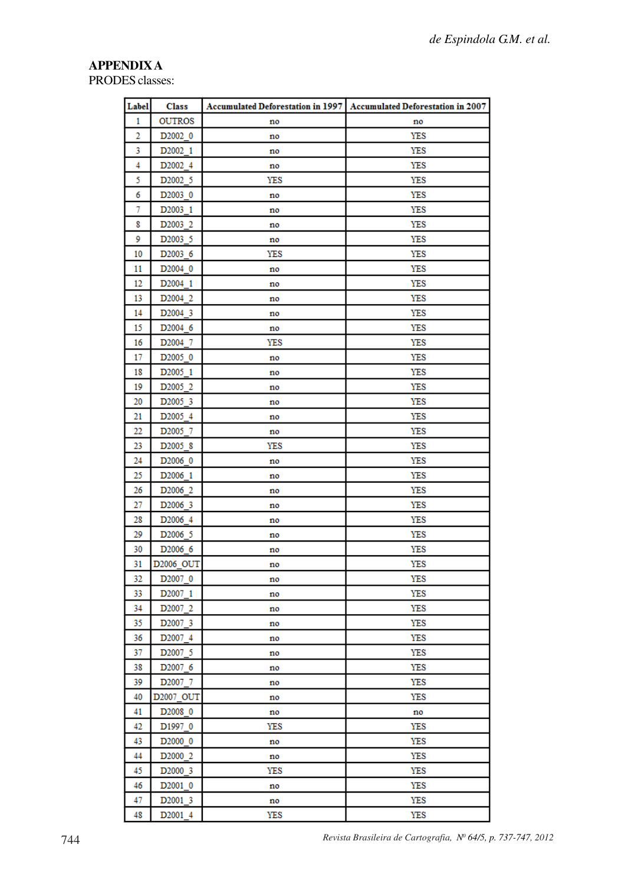# **APPENDIX A**

PRODES classes:

| Label     | <b>Class</b>                               |          | Accumulated Deforestation in 1997 Accumulated Deforestation in 2007 |  |
|-----------|--------------------------------------------|----------|---------------------------------------------------------------------|--|
| 1         | <b>OUTROS</b>                              | no       | no                                                                  |  |
| 2         | D <sub>2002</sub> 0                        | no       | YES                                                                 |  |
| 3         | D <sub>2002_1</sub>                        | no       | YES                                                                 |  |
| 4         | D <sub>2002</sub> 4                        | no       | YES                                                                 |  |
| 5         | D <sub>2002</sub> 5                        | YES      | YES                                                                 |  |
| 6         | D <sub>2003</sub> 0                        | no       | YES                                                                 |  |
| 7         | D <sub>2003</sub> 1                        | no       | YES                                                                 |  |
| 8         | D <sub>2003</sub> 2                        | no       | YES                                                                 |  |
| 9         | D <sub>2003</sub> 5                        | no       | YES                                                                 |  |
| 10        | D <sub>2003</sub> 6                        | YES      | YES                                                                 |  |
| 11        | D <sub>2004</sub> 0                        | no       | YES                                                                 |  |
| 12        | D <sub>2004</sub> 1                        | no       | YES                                                                 |  |
| 13        | D <sub>2004</sub> 2                        | no       | YES                                                                 |  |
| 14        | D <sub>2004</sub> 3                        | no       | <b>YES</b>                                                          |  |
| 15        | D <sub>2004</sub> 6                        | no       | YES                                                                 |  |
| 16        | D <sub>2004</sub> 7                        | YES      | YES                                                                 |  |
| 17        | D <sub>2005</sub> 0                        | no       | YES                                                                 |  |
| 18        | D <sub>2005</sub> 1                        | no       | <b>YES</b>                                                          |  |
| 19        | D <sub>2005</sub> 2                        | no       | YES                                                                 |  |
| 20        | D <sub>2005</sub> 3                        | no       | <b>YES</b>                                                          |  |
| 21        | D <sub>2005</sub> 4                        | no       | YES                                                                 |  |
| 22        | D <sub>2005</sub> 7                        | no       | YES                                                                 |  |
| 23        | D <sub>2005</sub> 8                        | YES      | YES                                                                 |  |
| 24        | D <sub>2006</sub> 0                        | no       | YES                                                                 |  |
| 25        | D <sub>2006</sub> 1                        | no       | YES                                                                 |  |
| 26        | D <sub>2006</sub> 2                        | no       | YES                                                                 |  |
| 27        | D <sub>2006</sub> 3                        | no       | YES                                                                 |  |
| 28        | D <sub>2006</sub> 4                        | no       | YES                                                                 |  |
| 29        | D <sub>2006</sub> 5                        | no       | YES                                                                 |  |
| 30        | D <sub>2006_6</sub>                        | no       | YES                                                                 |  |
| 31        | D2006 OUT                                  | no       | YES                                                                 |  |
| 32        | D <sub>2007</sub> 0                        | no       | YES                                                                 |  |
| 33        | D <sub>2007</sub> 1                        | no       | YES                                                                 |  |
| 34        | D <sub>2007</sub> 2                        | no       | YES                                                                 |  |
| 35.<br>36 | D <sub>2007</sub> 3<br>D <sub>2007</sub> 4 | no       | YES<br>YES                                                          |  |
| 37        | D <sub>2007</sub> 5                        | no       | <b>YES</b>                                                          |  |
| 38        | D <sub>2007</sub> 6                        | no       | YES                                                                 |  |
| 39        | D <sub>2007</sub> 7                        | no       | YES                                                                 |  |
| 40        | D2007 OUT                                  | no       | YES                                                                 |  |
| 41        | D <sub>2008</sub> 0                        | no<br>no | no                                                                  |  |
| 42        | D1997 0                                    | YES      | YES                                                                 |  |
| 43        | D <sub>2000</sub> 0                        | no       | YES                                                                 |  |
| 44        | D <sub>2000</sub> 2                        | no       | YES                                                                 |  |
| 45        | D <sub>2000</sub> 3                        | YES      | YES                                                                 |  |
| 46        | D <sub>2001</sub> 0                        | no       | YES                                                                 |  |
| 47        | D <sub>2001</sub> 3                        | no       | YES                                                                 |  |
| 48        | D <sub>2001</sub> 4                        | YES      | YES                                                                 |  |
|           |                                            |          |                                                                     |  |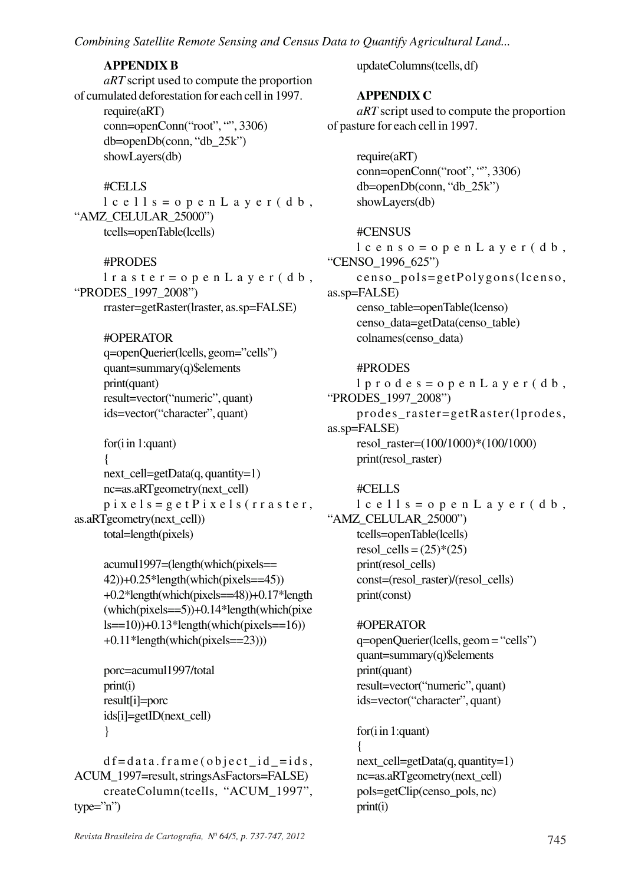### **APPENDIX B**

```
aRT script used to compute the proportion
of cumulated deforestation for each cell in 1997.
     require(aRT)
     conn=openConn("root", "", 3306)
     db=openDb(conn, "db_25k")
     showLayers(db)
```
### #CELLS

 $lc$ ells=openLayer(db, "AMZ\_CELULAR\_25000") tcells=openTable(lcells)

### #PRODES

lraster=openLayer(db, "PRODES\_1997\_2008") rraster=getRaster(lraster, as.sp=FALSE)

### #OPERATOR

q=openQuerier(lcells, geom="cells") quant=summary(q)\$elements print(quant) result=vector("numeric", quant) ids=vector("character", quant)

```
for(i in 1:quant)
      {
      next_cell=getData(q, quantity=1)
      nc=as.aRTgeometry(next_cell)
      p i x e l s = g e t P i x e l s (r r a s t e r,
as.aRTgeometry(next_cell))
      total=length(pixels)
```

```
acumul1997=(length(which(pixels==
42))+0.25*length(which(pixels==45))
+0.2*length(which(pixels==48))+0.17*length
(which(pixels==5)) + 0.14*length(which(pixe)ls=10))+0.13*length(which(pixels==16))
+0.11*length(which(pixels=23))
```

```
porc=acumul1997/total
print(i)result[i]=porc
ids[i]=getID(next_cell)
}
```
 $df = data.frame(object_id = ids,$ ACUM\_1997=result, stringsAsFactors=FALSE) createColumn(tcells, "ACUM\_1997",  $type="n")$ 

*Revista Brasileira de Cartografia, N<sup>0</sup> 64/5, p. 737-747, 2012*

updateColumns(tcells, df)

# **APPENDIX C**

*aRT* script used to compute the proportion of pasture for each cell in 1997.

> require(aRT) conn=openConn("root", "", 3306) db=openDb(conn, "db\_25k") showLayers(db)

#CENSUS  $l$  c e n s o = o p e n L a y e r (d b, "CENSO\_1996\_625") censo\_pols=getPolygons(lcenso, as.sp=FALSE) censo\_table=openTable(lcenso) censo\_data=getData(censo\_table) colnames(censo\_data)

### #PRODES

 $l$  p r o d e s = o p e n L a y e r (d b, "PRODES\_1997\_2008") prodes\_raster=getRaster(lprodes, as.sp=FALSE) resol\_raster=(100/1000)\*(100/1000) print(resol\_raster)

#### #CELLS

```
lcells=openLayer(db,
"AMZ_CELULAR_25000")
     tcells=openTable(lcells)
     resol_cells = (25)*(25)print(resol_cells)
     const=(resol_raster)/(resol_cells)
     print(const)
```
#OPERATOR q=openQuerier(lcells, geom = "cells") quant=summary(q)\$elements print(quant) result=vector("numeric", quant) ids=vector("character", quant)

```
for(i in 1:quant)
{
next_cell=getData(q, quantity=1)
nc=as.aRTgeometry(next_cell)
pols=getClip(censo_pols, nc)
print(i)
```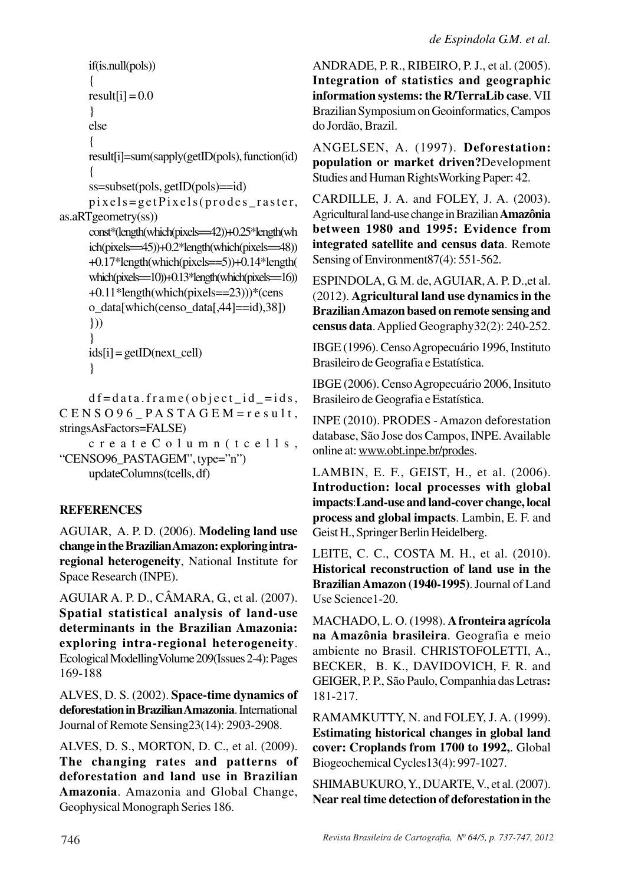```
if(is.null(pols))
      {
      result[i] = 0.0}
      else
      {
      result[i]=sum(sapply(getID(pols), function(id)
      {
      ss=subset(pols, getID(pols)==id)
      pixels=getPixels(prodes_raster,
as.aRTgeometry(ss))
      const*(length(which(pixels==42))+0.25*length(wh
      ich(pixels==45))+0.2*length(which(pixels==48))
      +0.17*length(which(pixels==5))+0.14*length(
      which(pixels==10))+0.13*length(which(pixels==16))
      +0.11*length(which(pixels==23)))*(cens
      o_data[which(censo_data[,44]==id),38])
      }))
      }
      ids[i] = getID(next cell)
      }
```
 $df = data.frame(object_id = ids,$  $CENSO96$   $PASTAGEM =$ result, stringsAsFactors=FALSE)

createColumn(tcells, "CENSO96\_PASTAGEM", type="n") updateColumns(tcells, df)

# **REFERENCES**

AGUIAR, A. P. D. (2006). **Modeling land use change in the Brazilian Amazon: exploring intraregional heterogeneity**, National Institute for Space Research (INPE).

AGUIAR A. P. D., CÂMARA, G., et al. (2007). **Spatial statistical analysis of land-use determinants in the Brazilian Amazonia: exploring intra-regional heterogeneity**. Ecological ModellingVolume 209(Issues 2-4): Pages 169-188

ALVES, D. S. (2002). **Space-time dynamics of deforestation in Brazilian Amazonia**. International Journal of Remote Sensing23(14): 2903-2908.

ALVES, D. S., MORTON, D. C., et al. (2009). **The changing rates and patterns of deforestation and land use in Brazilian Amazonia**. Amazonia and Global Change, Geophysical Monograph Series 186.

ANDRADE, P. R., RIBEIRO, P. J., et al. (2005). **Integration of statistics and geographic information systems: the R/TerraLib case**. VII Brazilian Symposium on Geoinformatics, Campos do Jordão, Brazil.

ANGELSEN, A. (1997). **Deforestation: population or market driven?**Development Studies and Human RightsWorking Paper: 42.

CARDILLE, J. A. and FOLEY, J. A. (2003). Agricultural land-use change in Brazilian **Amazônia between 1980 and 1995: Evidence from integrated satellite and census data**. Remote Sensing of Environment 87(4): 551-562.

ESPINDOLA, G. M. de, AGUIAR, A. P. D.,et al. (2012). **Agricultural land use dynamics in the Brazilian Amazon based on remote sensing and census data**. Applied Geography32(2): 240-252.

IBGE (1996). Censo Agropecuário 1996, Instituto Brasileiro de Geografia e Estatística.

IBGE (2006). Censo Agropecuário 2006, Insituto Brasileiro de Geografia e Estatística.

INPE (2010). PRODES - Amazon deforestation database, São Jose dos Campos, INPE. Available online at: www.obt.inpe.br/prodes.

LAMBIN, E. F., GEIST, H., et al. (2006). **Introduction: local processes with global impacts**:**Land-use and land-cover change, local process and global impacts**. Lambin, E. F. and Geist H., Springer Berlin Heidelberg.

LEITE, C. C., COSTA M. H., et al. (2010). **Historical reconstruction of land use in the Brazilian Amazon (1940-1995)**. Journal of Land Use Science1-20.

MACHADO, L. O. (1998). **A fronteira agrícola na Amazônia brasileira**. Geografia e meio ambiente no Brasil. CHRISTOFOLETTI, A., BECKER, B. K., DAVIDOVICH, F. R. and GEIGER, P. P., São Paulo, Companhia das Letras**:** 181-217.

RAMAMKUTTY, N. and FOLEY, J. A. (1999). **Estimating historical changes in global land cover: Croplands from 1700 to 1992,**. Global Biogeochemical Cycles13(4): 997-1027.

SHIMABUKURO, Y., DUARTE, V., et al. (2007). **Near real time detection of deforestation in the**